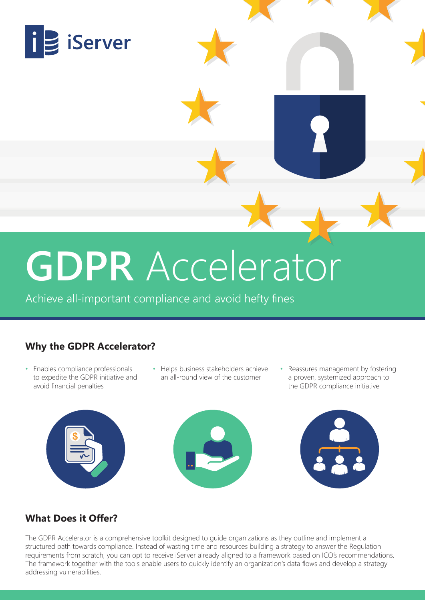

# **GDPR** Accelerator

Achieve all-important compliance and avoid hefty fines

## **Why the GDPR Accelerator?**

- Enables compliance professionals to expedite the GDPR initiative and avoid financial penalties
- Helps business stakeholders achieve an all-round view of the customer
- Reassures management by fostering a proven, systemized approach to the GDPR compliance initiative







### **What Does it Offer?**

The GDPR Accelerator is a comprehensive toolkit designed to guide organizations as they outline and implement a structured path towards compliance. Instead of wasting time and resources building a strategy to answer the Regulation requirements from scratch, you can opt to receive iServer already aligned to a framework based on ICO's recommendations. The framework together with the tools enable users to quickly identify an organization's data flows and develop a strategy addressing vulnerabilities.